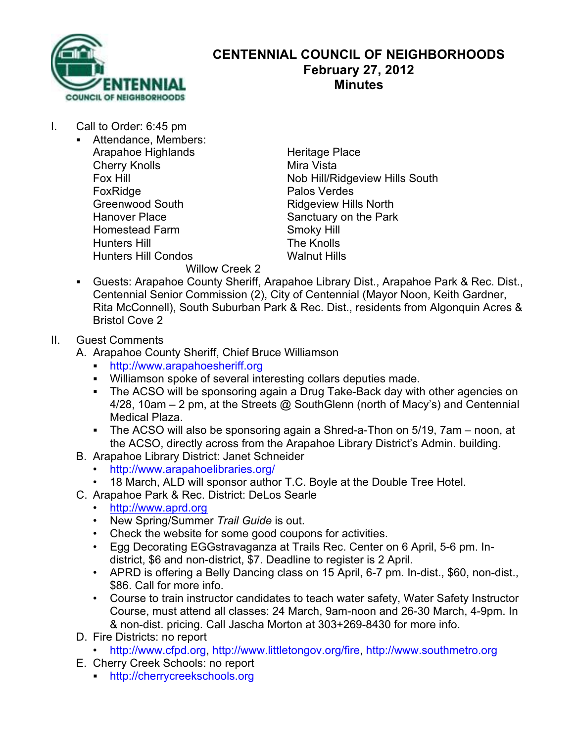

## **CENTENNIAL COUNCIL OF NEIGHBORHOODS February 27, 2012 Minutes**

- I. Call to Order: 6:45 pm
	- Attendance, Members: Arapahoe Highlands<br>
	Cherry Knolls<br>
	Cherry Knolls **Cherry Knolls** FoxRidge **Palos** Verdes Greenwood South Ridgeview Hills North Hanover Place Sanctuary on the Park<br>
	Homestead Farm<br>
	Smoky Hill Homestead Farm Smoky Hill<br>
	Hunters Hill Smoky Hill<br>
	The Knolls Hunters Hill Hunters Hill Condos Walnut Hills

Fox Hill **Fox Hill Nob Hill/Ridgeview Hills South** 

Willow Creek 2

- ! Guests: Arapahoe County Sheriff, Arapahoe Library Dist., Arapahoe Park & Rec. Dist., Centennial Senior Commission (2), City of Centennial (Mayor Noon, Keith Gardner, Rita McConnell), South Suburban Park & Rec. Dist., residents from Algonquin Acres & Bristol Cove 2
- II. Guest Comments
	- A. Arapahoe County Sheriff, Chief Bruce Williamson
		- ! http://www.arapahoesheriff.org
		- ! Williamson spoke of several interesting collars deputies made.
		- . The ACSO will be sponsoring again a Drug Take-Back day with other agencies on 4/28, 10am – 2 pm, at the Streets @ SouthGlenn (north of Macy's) and Centennial Medical Plaza.
		- ! The ACSO will also be sponsoring again a Shred-a-Thon on 5/19, 7am noon, at the ACSO, directly across from the Arapahoe Library District's Admin. building.
	- B. Arapahoe Library District: Janet Schneider
		- http://www.arapahoelibraries.org/
		- 18 March, ALD will sponsor author T.C. Boyle at the Double Tree Hotel.
	- C. Arapahoe Park & Rec. District: DeLos Searle
		- http://www.aprd.org
		- New Spring/Summer *Trail Guide* is out.
		- Check the website for some good coupons for activities.
		- Egg Decorating EGGstravaganza at Trails Rec. Center on 6 April, 5-6 pm. Indistrict, \$6 and non-district, \$7. Deadline to register is 2 April.
		- APRD is offering a Belly Dancing class on 15 April, 6-7 pm. In-dist., \$60, non-dist., \$86. Call for more info.
		- Course to train instructor candidates to teach water safety, Water Safety Instructor Course, must attend all classes: 24 March, 9am-noon and 26-30 March, 4-9pm. In & non-dist. pricing. Call Jascha Morton at 303+269-8430 for more info.
	- D. Fire Districts: no report
		- http://www.cfpd.org, http://www.littletongov.org/fire, http://www.southmetro.org
	- E. Cherry Creek Schools: no report
		- ! http://cherrycreekschools.org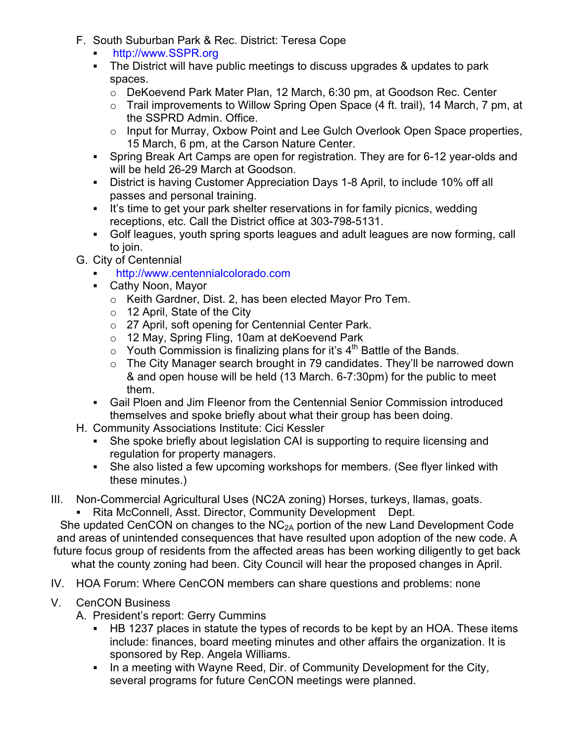- F. South Suburban Park & Rec. District: Teresa Cope
	- http://www.SSPR.org
	- ! The District will have public meetings to discuss upgrades & updates to park spaces.
		- o DeKoevend Park Mater Plan, 12 March, 6:30 pm, at Goodson Rec. Center
		- o Trail improvements to Willow Spring Open Space (4 ft. trail), 14 March, 7 pm, at the SSPRD Admin. Office.
		- $\circ$  Input for Murray, Oxbow Point and Lee Gulch Overlook Open Space properties, 15 March, 6 pm, at the Carson Nature Center.
	- ! Spring Break Art Camps are open for registration. They are for 6-12 year-olds and will be held 26-29 March at Goodson.
	- ! District is having Customer Appreciation Days 1-8 April, to include 10% off all passes and personal training.
	- ! It's time to get your park shelter reservations in for family picnics, wedding receptions, etc. Call the District office at 303-798-5131.
	- ! Golf leagues, youth spring sports leagues and adult leagues are now forming, call to join.
- G. City of Centennial
	- ! http://www.centennialcolorado.com
	- ! Cathy Noon, Mayor
		- o Keith Gardner, Dist. 2, has been elected Mayor Pro Tem.
		- o 12 April, State of the City
		- o 27 April, soft opening for Centennial Center Park.
		- o 12 May, Spring Fling, 10am at deKoevend Park
		- $\circ$  Youth Commission is finalizing plans for it's 4<sup>th</sup> Battle of the Bands.
		- o The City Manager search brought in 79 candidates. They'll be narrowed down & and open house will be held (13 March. 6-7:30pm) for the public to meet them.
	- ! Gail Ploen and Jim Fleenor from the Centennial Senior Commission introduced themselves and spoke briefly about what their group has been doing.
- H. Community Associations Institute: Cici Kessler
	- She spoke briefly about legislation CAI is supporting to require licensing and regulation for property managers.
	- ! She also listed a few upcoming workshops for members. (See flyer linked with these minutes.)
- III. Non-Commercial Agricultural Uses (NC2A zoning) Horses, turkeys, llamas, goats.
	- Rita McConnell, Asst. Director, Community Development Dept.

She updated CenCON on changes to the  $NC<sub>2A</sub>$  portion of the new Land Development Code and areas of unintended consequences that have resulted upon adoption of the new code. A future focus group of residents from the affected areas has been working diligently to get back what the county zoning had been. City Council will hear the proposed changes in April.

- IV. HOA Forum: Where CenCON members can share questions and problems: none
- V. CenCON Business
	- A. President's report: Gerry Cummins
		- ! HB 1237 places in statute the types of records to be kept by an HOA. These items include: finances, board meeting minutes and other affairs the organization. It is sponsored by Rep. Angela Williams.
		- ! In a meeting with Wayne Reed, Dir. of Community Development for the City, several programs for future CenCON meetings were planned.